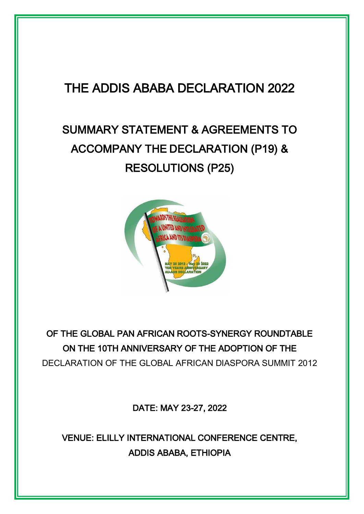## THE ADDIS ABABA DECLARATION 2022

# SUMMARY STATEMENT & AGREEMENTS TO ACCOMPANY THE DECLARATION (P19) & RESOLUTIONS (P25)



## OF THE GLOBAL PAN AFRICAN ROOTS-SYNERGY ROUNDTABLE ON THE 10TH ANNIVERSARY OF THE ADOPTION OF THE DECLARATION OF THE GLOBAL AFRICAN DIASPORA SUMMIT 2012

DATE: MAY 23-27, 2022

VENUE: ELILLY INTERNATIONAL CONFERENCE CENTRE, ADDIS ABABA, ETHIOPIA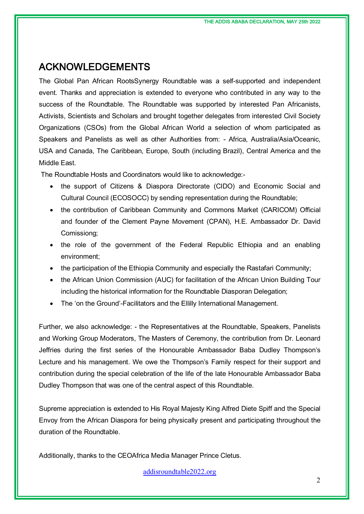### ACKNOWLEDGEMENTS

The Global Pan African RootsSynergy Roundtable was a self-supported and independent event. Thanks and appreciation is extended to everyone who contributed in any way to the success of the Roundtable. The Roundtable was supported by interested Pan Africanists, Activists, Scientists and Scholars and brought together delegates from interested Civil Society Organizations (CSOs) from the Global African World a selection of whom participated as Speakers and Panelists as well as other Authorities from: - Africa, Australia/Asia/Oceanic, USA and Canada, The Caribbean, Europe, South (including Brazil), Central America and the Middle East.

The Roundtable Hosts and Coordinators would like to acknowledge:-

- the support of Citizens & Diaspora Directorate (CIDO) and Economic Social and Cultural Council (ECOSOCC) by sending representation during the Roundtable;
- the contribution of Caribbean Community and Commons Market (CARICOM) Official and founder of the Clement Payne Movement (CPAN), H.E. Ambassador Dr. David Comissiong;
- the role of the government of the Federal Republic Ethiopia and an enabling environment;
- the participation of the Ethiopia Community and especially the Rastafari Community;
- the African Union Commission (AUC) for facilitation of the African Union Building Tour including the historical information for the Roundtable Diasporan Delegation;
- The 'on the Ground'-Facilitators and the Ellilly International Management.

Further, we also acknowledge: - the Representatives at the Roundtable, Speakers, Panelists and Working Group Moderators, The Masters of Ceremony, the contribution from Dr. Leonard Jeffries during the first series of the Honourable Ambassador Baba Dudley Thompson's Lecture and his management. We owe the Thompson's Family respect for their support and contribution during the special celebration of the life of the late Honourable Ambassador Baba Dudley Thompson that was one of the central aspect of this Roundtable.

Supreme appreciation is extended to His Royal Majesty King Alfred Diete Spiff and the Special Envoy from the African Diaspora for being physically present and participating throughout the duration of the Roundtable.

Additionally, thanks to the CEOAfrica Media Manager Prince Cletus.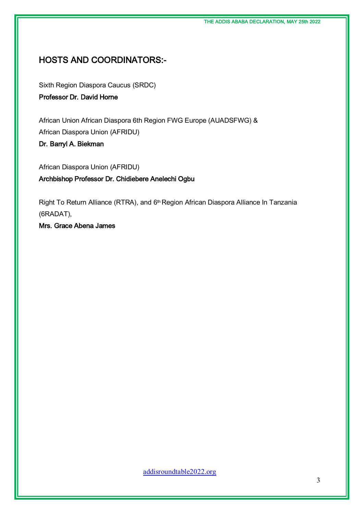### HOSTS AND COORDINATORS:-

Sixth Region Diaspora Caucus (SRDC)

Professor Dr. David Horne

African Union African Diaspora 6th Region FWG Europe (AUADSFWG) & African Diaspora Union (AFRIDU)

Dr. Barryl A. Biekman

African Diaspora Union (AFRIDU) Archbishop Professor Dr. Chidiebere Anelechi Ogbu

Right To Return Alliance (RTRA), and 6<sup>th</sup> Region African Diaspora Alliance In Tanzania (6RADAT),

Mrs. Grace Abena James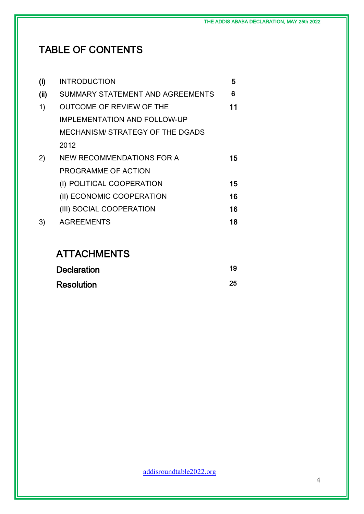## TABLE OF CONTENTS

| (i) | <b>INTRODUCTION</b>                     | 5  |
|-----|-----------------------------------------|----|
| (i) | SUMMARY STATEMENT AND AGREEMENTS        | 6  |
| 1)  | <b>OUTCOME OF REVIEW OF THE</b>         | 11 |
|     | <b>IMPLEMENTATION AND FOLLOW-UP</b>     |    |
|     | <b>MECHANISM/ STRATEGY OF THE DGADS</b> |    |
|     | 2012                                    |    |
| 2)  | <b>NEW RECOMMENDATIONS FOR A</b>        | 15 |
|     | PROGRAMME OF ACTION                     |    |
|     | (I) POLITICAL COOPERATION               | 15 |
|     | (II) ECONOMIC COOPERATION               | 16 |
|     | (III) SOCIAL COOPERATION                | 16 |
| 3)  | <b>AGREEMENTS</b>                       | 18 |
|     |                                         |    |

## **ATTACHMENTS**

| <b>Declaration</b> | 19 |
|--------------------|----|
| <b>Resolution</b>  | 25 |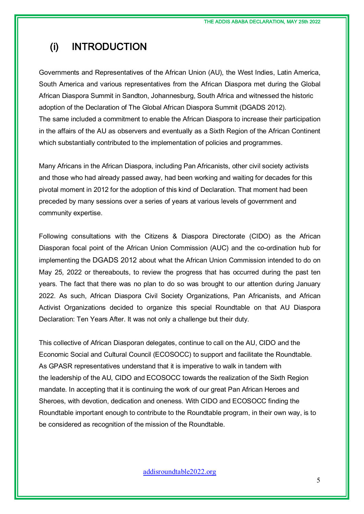## (i) INTRODUCTION

Governments and Representatives of the African Union (AU), the West Indies, Latin America, South America and various representatives from the African Diaspora met during the Global African Diaspora Summit in Sandton, Johannesburg, South Africa and witnessed the historic adoption of the Declaration of The Global African Diaspora Summit (DGADS 2012). The same included a commitment to enable the African Diaspora to increase their participation in the affairs of the AU as observers and eventually as a Sixth Region of the African Continent which substantially contributed to the implementation of policies and programmes.

Many Africans in the African Diaspora, including Pan Africanists, other civil society activists and those who had already passed away, had been working and waiting for decades for this pivotal moment in 2012 for the adoption of this kind of Declaration. That moment had been preceded by many sessions over a series of years at various levels of government and community expertise.

Following consultations with the Citizens & Diaspora Directorate (CIDO) as the African Diasporan focal point of the African Union Commission (AUC) and the co-ordination hub for implementing the DGADS 2012 about what the African Union Commission intended to do on May 25, 2022 or thereabouts, to review the progress that has occurred during the past ten years. The fact that there was no plan to do so was brought to our attention during January 2022. As such, African Diaspora Civil Society Organizations, Pan Africanists, and African Activist Organizations decided to organize this special Roundtable on that AU Diaspora Declaration: Ten Years After. It was not only a challenge but their duty.

This collective of African Diasporan delegates, continue to call on the AU, CIDO and the Economic Social and Cultural Council (ECOSOCC) to support and facilitate the Roundtable. As GPASR representatives understand that it is imperative to walk in tandem with the leadership of the AU, CIDO and ECOSOCC towards the realization of the Sixth Region mandate. In accepting that it is continuing the work of our great Pan African Heroes and Sheroes, with devotion, dedication and oneness. With CIDO and ECOSOCC finding the Roundtable important enough to contribute to the Roundtable program, in their own way, is to be considered as recognition of the mission of the Roundtable.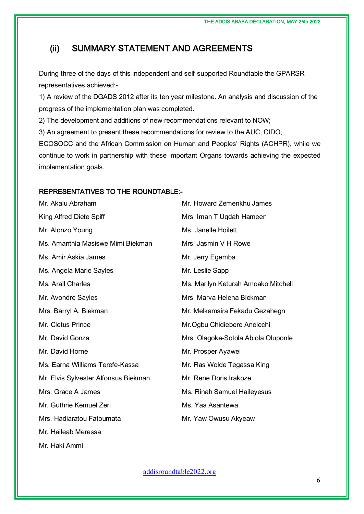### (ii) SUMMARY STATEMENT AND AGREEMENTS

During three of the days of this independent and self-supported Roundtable the GPARSR representatives achieved:-

1) A review of the DGADS 2012 after its ten year milestone. An analysis and discussion of the progress of the implementation plan was completed.

2) The development and additions of new recommendations relevant to NOW;

3) An agreement to present these recommendations for review to the AUC, CIDO,

ECOSOCC and the African Commission on Human and Peoples' Rights (ACHPR), while we continue to work in partnership with these important Organs towards achieving the expected implementation goals.

#### REPRESENTATIVES TO THE ROUNDTABLE:-

| Mr. Akalu Abraham                    | Mr. Howard Zemenkhu James           |
|--------------------------------------|-------------------------------------|
| King Alfred Diete Spiff              | Mrs. Iman T Uqdah Hameen            |
| Mr. Alonzo Young                     | Ms. Janelle Hoilett                 |
| Ms. Amanthla Masiswe Mimi Biekman    | Mrs. Jasmin V H Rowe                |
| Ms. Amir Askia James                 | Mr. Jerry Egemba                    |
| Ms. Angela Marie Sayles              | Mr. Leslie Sapp                     |
| Ms. Arall Charles                    | Ms. Marilyn Keturah Amoako Mitchell |
| Mr. Avondre Sayles                   | Mrs. Marva Helena Biekman           |
| Mrs. Barryl A. Biekman               | Mr. Melkamsira Fekadu Gezahegn      |
| Mr. Cletus Prince                    | Mr. Ogbu Chidiebere Anelechi        |
| Mr. David Gonza                      | Mrs. Olagoke-Sotola Abiola Oluponle |
| Mr. David Horne                      | Mr. Prosper Ayawei                  |
| Ms. Earna Williams Terefe-Kassa      | Mr. Ras Wolde Tegassa King          |
| Mr. Elvis Sylvester Alfonsus Biekman | Mr. Rene Doris Irakoze              |
| Mrs. Grace A James                   | Ms. Rinah Samuel Haileyesus         |
| Mr. Guthrie Kemuel Zeri              | Ms. Yaa Asantewa                    |
| Mrs. Hadiaratou Fatoumata            | Mr. Yaw Owusu Akyeaw                |
| Mr. Haileab Meressa                  |                                     |

Mr. Haki Ammi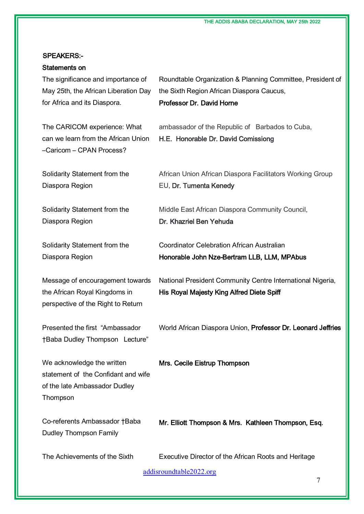THE ADDIS ABABA DECLARATION, MAY 25th 2022

#### SPEAKERS:-

## Statements on

The significance and importance of May 25th, the African Liberation Day for Africa and its Diaspora.

The CARICOM experience: What can we learn from the African Union –Caricom – CPAN Process?

Solidarity Statement from the Diaspora Region

Solidarity Statement from the Diaspora Region

Solidarity Statement from the Diaspora Region

Message of encouragement towards the African Royal Kingdoms in perspective of the Right to Return

Presented the first "Ambassador †Baba Dudley Thompson Lecture"

We acknowledge the written statement of the Confidant and wife of the late Ambassador Dudley Thompson

Co-referents Ambassador †Baba Dudley Thompson Family

Roundtable Organization & Planning Committee, President of the Sixth Region African Diaspora Caucus,

Professor Dr. David Horne

ambassador of the Republic of Barbados to Cuba, H.E. Honorable Dr. David Comissiong

African Union African Diaspora Facilitators Working Group EU, Dr. Tumenta Kenedy

Middle East African Diaspora Community Council, Dr. Khazriel Ben Yehuda

Coordinator Celebration African Australian Honorable John Nze-Bertram LLB, LLM, MPAbus

National President Community Centre International Nigeria, His Royal Majesty King Alfred Diete Spiff

World African Diaspora Union, Professor Dr. Leonard Jeffries

Mrs. Cecile Eistrup Thompson

Mr. Elliott Thompson & Mrs. Kathleen Thompson, Esq.

The Achievements of the Sixth Executive Director of the African Roots and Heritage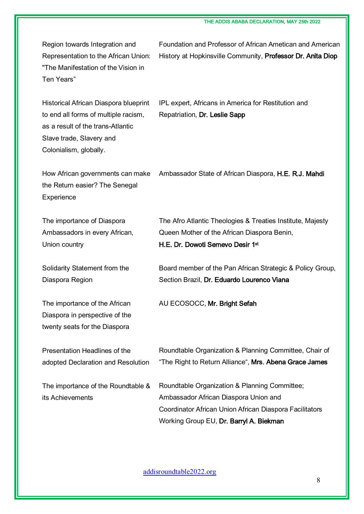Region towards Integration and Representation to the African Union: "The Manifestation of the Vision in Ten Years"

Foundation and Professor of African Ametican and American History at Hopkinsville Community, Professor Dr. Anita Diop

Historical African Diaspora blueprint to end all forms of multiple racism, as a result of the trans-Atlantic Slave trade, Slavery and Colonialism, globally.

IPL expert, Africans in America for Restitution and Repatriation, Dr. Leslie Sapp

How African governments can make Ambassador State of African Diaspora, **H.E. R.J. Mahdi** the Return easier? The Senegal **Experience** 

The importance of Diaspora Ambassadors in every African, Union country

Solidarity Statement from the Diaspora Region

The importance of the African Diaspora in perspective of the twenty seats for the Diaspora

Presentation Headlines of the adopted Declaration and Resolution

The importance of the Roundtable & its Achievements

The Afro Atlantic Theologies & Treaties Institute, Majesty Queen Mother of the African Diaspora Benin, H.E. Dr. Dowoti Semevo Desir 1st

Board member of the Pan African Strategic & Policy Group, Section Brazil, Dr. Eduardo Lourenco Viana

AU ECOSOCC, Mr. Bright Sefah

Roundtable Organization & Planning Committee, Chair of "The Right to Return Alliance", Mrs. Abena Grace James

Roundtable Organization & Planning Committee; Ambassador African Diaspora Union and Coordinator African Union African Diaspora Facilitators Working Group EU, Dr. Barryl A. Biekman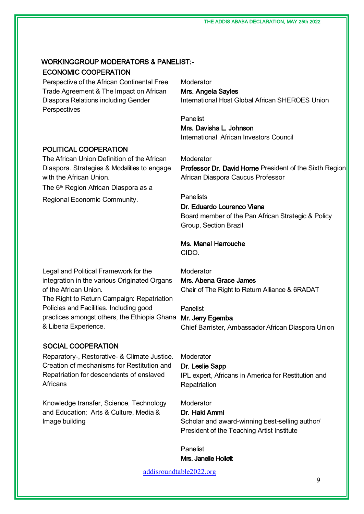### WORKINGGROUP MODERATORS & PANELIST:- ECONOMIC COOPERATION

Perspective of the African Continental Free Trade Agreement & The Impact on African Diaspora Relations including Gender **Perspectives** 

#### POLITICAL COOPERATION

The African Union Definition of the African Diaspora. Strategies & Modalities to engage with the African Union.

The 6<sup>th</sup> Region African Diaspora as a

Regional Economic Community.

Moderator Mrs. Angela Sayles International Host Global African SHEROES Union

Panelist Mrs. Davisha L. Johnson International African Investors Council

Moderator Professor Dr. David Horne President of the Sixth Region African Diaspora Caucus Professor

#### **Panelists**

#### Dr. Eduardo Lourenco Viana

Board member of the Pan African Strategic & Policy Group, Section Brazil

### Ms. Manal Harrouche

CIDO.

Legal and Political Framework for the integration in the various Originated Organs of the African Union.

The Right to Return Campaign: Repatriation Policies and Facilities. Including good practices amongst others, the Ethiopia Ghana Mr. Jerry Egemba & Liberia Experience.

#### SOCIAL COOPERATION

Reparatory-, Restorative- & Climate Justice. Creation of mechanisms for Restitution and Repatriation for descendants of enslaved **Africans** 

Knowledge transfer, Science, Technology and Education; Arts & Culture, Media & Image building

Moderator Mrs. Abena Grace James Chair of The Right to Return Alliance & 6RADAT

Panelist

Chief Barrister, Ambassador African Diaspora Union

**Moderator** 

Dr. Leslie Sapp IPL expert, Africans in America for Restitution and **Repatriation** 

**Moderator** 

#### Dr. Haki Ammi

Scholar and award-winning best-selling author/ President of the Teaching Artist Institute

Panelist Mrs. Janelle Hoilett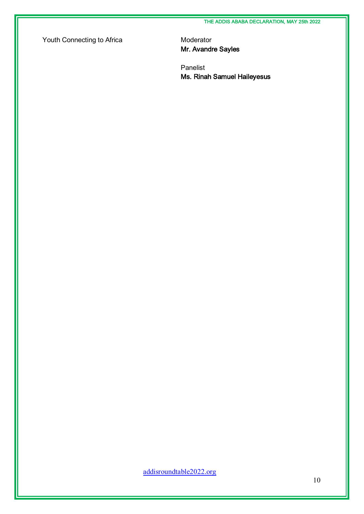Youth Connecting to Africa Moderator

Mr. Avandre Sayles

Panelist Ms. Rinah Samuel Haileyesus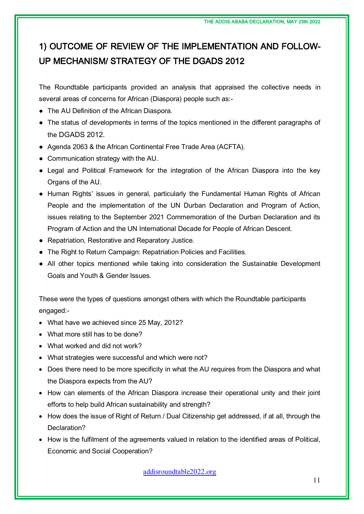## 1) OUTCOME OF REVIEW OF THE IMPLEMENTATION AND FOLLOW-UP MECHANISM/ STRATEGY OF THE DGADS 2012

The Roundtable participants provided an analysis that appraised the collective needs in several areas of concerns for African (Diaspora) people such as:-

- The AU Definition of the African Diaspora.
- The status of developments in terms of the topics mentioned in the different paragraphs of the DGADS 2012.
- Agenda 2063 & the African Continental Free Trade Area (ACFTA).
- Communication strategy with the AU.
- Legal and Political Framework for the integration of the African Diaspora into the key Organs of the AU.
- Human Rights' issues in general, particularly the Fundamental Human Rights of African People and the implementation of the UN Durban Declaration and Program of Action, issues relating to the September 2021 Commemoration of the Durban Declaration and its Program of Action and the UN International Decade for People of African Descent.
- Repatriation, Restorative and Reparatory Justice.
- The Right to Return Campaign: Repatriation Policies and Facilities.
- All other topics mentioned while taking into consideration the Sustainable Development Goals and Youth & Gender Issues.

These were the types of questions amongst others with which the Roundtable participants engaged:-

- What have we achieved since 25 May, 2012?
- What more still has to be done?
- What worked and did not work?
- What strategies were successful and which were not?
- Does there need to be more specificity in what the AU requires from the Diaspora and what the Diaspora expects from the AU?
- How can elements of the African Diaspora increase their operational unity and their joint efforts to help build African sustainability and strength?
- How does the issue of Right of Return / Dual Citizenship get addressed, if at all, through the Declaration?
- How is the fulfilment of the agreements valued in relation to the identified areas of Political, Economic and Social Cooperation?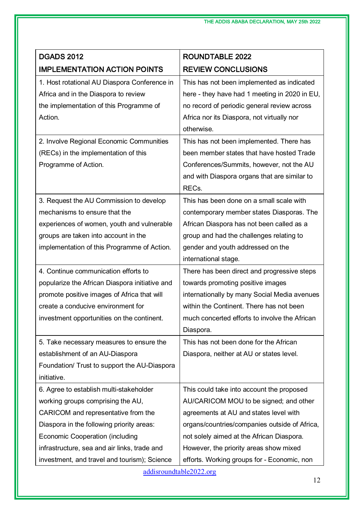| <b>DGADS 2012</b>                              | <b>ROUNDTABLE 2022</b>                        |
|------------------------------------------------|-----------------------------------------------|
| <b>IMPLEMENTATION ACTION POINTS</b>            | <b>REVIEW CONCLUSIONS</b>                     |
| 1. Host rotational AU Diaspora Conference in   | This has not been implemented as indicated    |
| Africa and in the Diaspora to review           | here - they have had 1 meeting in 2020 in EU, |
| the implementation of this Programme of        | no record of periodic general review across   |
| Action.                                        | Africa nor its Diaspora, not virtually nor    |
|                                                | otherwise.                                    |
| 2. Involve Regional Economic Communities       | This has not been implemented. There has      |
| (RECs) in the implementation of this           | been member states that have hosted Trade     |
| Programme of Action.                           | Conferences/Summits, however, not the AU      |
|                                                | and with Diaspora organs that are similar to  |
|                                                | RECs.                                         |
| 3. Request the AU Commission to develop        | This has been done on a small scale with      |
| mechanisms to ensure that the                  | contemporary member states Diasporas. The     |
| experiences of women, youth and vulnerable     | African Diaspora has not been called as a     |
| groups are taken into account in the           | group and had the challenges relating to      |
| implementation of this Programme of Action.    | gender and youth addressed on the             |
|                                                | international stage.                          |
| 4. Continue communication efforts to           | There has been direct and progressive steps   |
| popularize the African Diaspora initiative and | towards promoting positive images             |
| promote positive images of Africa that will    | internationally by many Social Media avenues  |
| create a conducive environment for             | within the Continent. There has not been      |
| investment opportunities on the continent.     | much concerted efforts to involve the African |
|                                                | Diaspora.                                     |
| 5. Take necessary measures to ensure the       | This has not been done for the African        |
| establishment of an AU-Diaspora                | Diaspora, neither at AU or states level.      |
| Foundation/ Trust to support the AU-Diaspora   |                                               |
| initiative.                                    |                                               |
| 6. Agree to establish multi-stakeholder        | This could take into account the proposed     |
| working groups comprising the AU,              | AU/CARICOM MOU to be signed; and other        |
| CARICOM and representative from the            | agreements at AU and states level with        |
| Diaspora in the following priority areas:      | organs/countries/companies outside of Africa, |
| <b>Economic Cooperation (including</b>         | not solely aimed at the African Diaspora.     |
| infrastructure, sea and air links, trade and   | However, the priority areas show mixed        |
| investment, and travel and tourism); Science   | efforts. Working groups for - Economic, non   |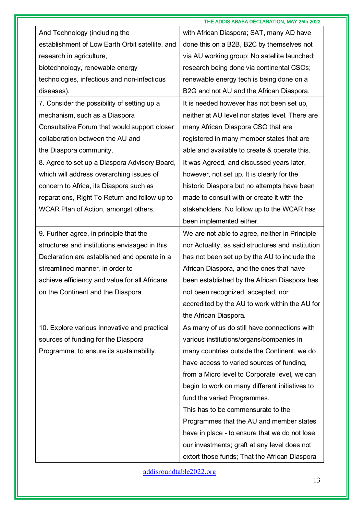|                                                 | THE ADDIS ABABA DECLARATION, MAY 25th 2022        |
|-------------------------------------------------|---------------------------------------------------|
| And Technology (including the                   | with African Diaspora; SAT, many AD have          |
| establishment of Low Earth Orbit satellite, and | done this on a B2B, B2C by themselves not         |
| research in agriculture,                        | via AU working group; No satellite launched;      |
| biotechnology, renewable energy                 | research being done via continental CSOs;         |
| technologies, infectious and non-infectious     | renewable energy tech is being done on a          |
| diseases).                                      | B2G and not AU and the African Diaspora.          |
| 7. Consider the possibility of setting up a     | It is needed however has not been set up,         |
| mechanism, such as a Diaspora                   | neither at AU level nor states level. There are   |
| Consultative Forum that would support closer    | many African Diaspora CSO that are                |
| collaboration between the AU and                | registered in many member states that are         |
| the Diaspora community.                         | able and available to create & operate this.      |
| 8. Agree to set up a Diaspora Advisory Board,   | It was Agreed, and discussed years later,         |
| which will address overarching issues of        | however, not set up. It is clearly for the        |
| concern to Africa, its Diaspora such as         | historic Diaspora but no attempts have been       |
| reparations, Right To Return and follow up to   | made to consult with or create it with the        |
| WCAR Plan of Action, amongst others.            | stakeholders. No follow up to the WCAR has        |
|                                                 | been implemented either.                          |
| 9. Further agree, in principle that the         | We are not able to agree, neither in Principle    |
| structures and institutions envisaged in this   | nor Actuality, as said structures and institution |
| Declaration are established and operate in a    | has not been set up by the AU to include the      |
| streamlined manner, in order to                 | African Diaspora, and the ones that have          |
| achieve efficiency and value for all Africans   | been established by the African Diaspora has      |
| on the Continent and the Diaspora.              | not been recognized, accepted, nor                |
|                                                 | accredited by the AU to work within the AU for    |
|                                                 | the African Diaspora.                             |
| 10. Explore various innovative and practical    | As many of us do still have connections with      |
| sources of funding for the Diaspora             | various institutions/organs/companies in          |
| Programme, to ensure its sustainability.        | many countries outside the Continent, we do       |
|                                                 | have access to varied sources of funding,         |
|                                                 | from a Micro level to Corporate level, we can     |
|                                                 | begin to work on many different initiatives to    |
|                                                 | fund the varied Programmes.                       |
|                                                 | This has to be commensurate to the                |
|                                                 | Programmes that the AU and member states          |
|                                                 | have in place - to ensure that we do not lose     |
|                                                 | our investments; graft at any level does not      |
|                                                 | extort those funds; That the African Diaspora     |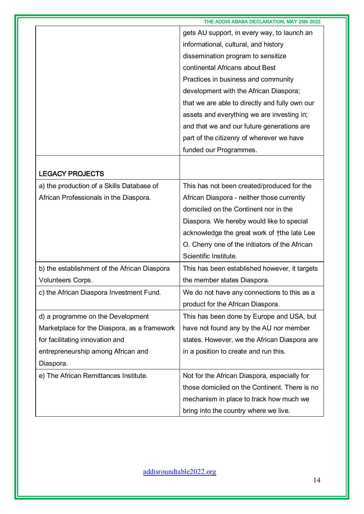|                                              | THE ADDIS ABABA DECLARATION, MAY 25th 2022     |
|----------------------------------------------|------------------------------------------------|
|                                              | gets AU support, in every way, to launch an    |
|                                              | informational, cultural, and history           |
|                                              | dissemination program to sensitize             |
|                                              | continental Africans about Best                |
|                                              | Practices in business and community            |
|                                              | development with the African Diaspora;         |
|                                              | that we are able to directly and fully own our |
|                                              | assets and everything we are investing in;     |
|                                              | and that we and our future generations are     |
|                                              | part of the citizenry of wherever we have      |
|                                              | funded our Programmes.                         |
|                                              |                                                |
| <b>LEGACY PROJECTS</b>                       |                                                |
| a) the production of a Skills Database of    | This has not been created/produced for the     |
| African Professionals in the Diaspora.       | African Diaspora - neither those currently     |
|                                              | domiciled on the Continent nor in the          |
|                                              | Diaspora. We hereby would like to special      |
|                                              | acknowledge the great work of the late Lee     |
|                                              | O. Cherry one of the initiators of the African |
|                                              | Scientific Institute.                          |
| b) the establishment of the African Diaspora | This has been established however, it targets  |
| Volunteers Corps.                            | the member states Diaspora.                    |
| c) the African Diaspora Investment Fund.     | We do not have any connections to this as a    |
|                                              | product for the African Diaspora.              |
| d) a programme on the Development            | This has been done by Europe and USA, but      |
| Marketplace for the Diaspora, as a framework | have not found any by the AU nor member        |
| for facilitating innovation and              | states. However, we the African Diaspora are   |
| entrepreneurship among African and           | in a position to create and run this.          |
| Diaspora.                                    |                                                |
| e) The African Remittances Institute.        | Not for the African Diaspora, especially for   |
|                                              | those domiciled on the Continent. There is no  |
|                                              | mechanism in place to track how much we        |
|                                              | bring into the country where we live.          |
|                                              |                                                |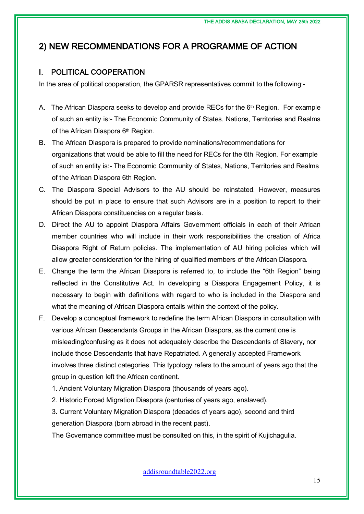### 2) NEW RECOMMENDATIONS FOR A PROGRAMME OF ACTION

#### I. POLITICAL COOPERATION

In the area of political cooperation, the GPARSR representatives commit to the following:-

- A. The African Diaspora seeks to develop and provide RECs for the  $6<sup>th</sup>$  Region. For example of such an entity is:- The Economic Community of States, Nations, Territories and Realms of the African Diaspora 6<sup>th</sup> Region.
- B. The African Diaspora is prepared to provide nominations/recommendations for organizations that would be able to fill the need for RECs for the 6th Region. For example of such an entity is:- The Economic Community of States, Nations, Territories and Realms of the African Diaspora 6th Region.
- C. The Diaspora Special Advisors to the AU should be reinstated. However, measures should be put in place to ensure that such Advisors are in a position to report to their African Diaspora constituencies on a regular basis.
- D. Direct the AU to appoint Diaspora Affairs Government officials in each of their African member countries who will include in their work responsibilities the creation of Africa Diaspora Right of Return policies. The implementation of AU hiring policies which will allow greater consideration for the hiring of qualified members of the African Diaspora.
- E. Change the term the African Diaspora is referred to, to include the "6th Region" being reflected in the Constitutive Act. In developing a Diaspora Engagement Policy, it is necessary to begin with definitions with regard to who is included in the Diaspora and what the meaning of African Diaspora entails within the context of the policy.
- F. Develop a conceptual framework to redefine the term African Diaspora in consultation with various African Descendants Groups in the African Diaspora, as the current one is misleading/confusing as it does not adequately describe the Descendants of Slavery, nor include those Descendants that have Repatriated. A generally accepted Framework involves three distinct categories. This typology refers to the amount of years ago that the group in question left the African continent.
	- 1. Ancient Voluntary Migration Diaspora (thousands of years ago).
	- 2. Historic Forced Migration Diaspora (centuries of years ago, enslaved).

3. Current Voluntary Migration Diaspora (decades of years ago), second and third generation Diaspora (born abroad in the recent past).

The Governance committee must be consulted on this, in the spirit of Kujichagulia.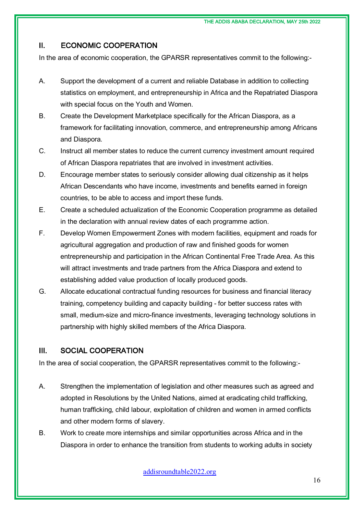### II. ECONOMIC COOPERATION

In the area of economic cooperation, the GPARSR representatives commit to the following:-

- A. Support the development of a current and reliable Database in addition to collecting statistics on employment, and entrepreneurship in Africa and the Repatriated Diaspora with special focus on the Youth and Women.
- B. Create the Development Marketplace specifically for the African Diaspora, as a framework for facilitating innovation, commerce, and entrepreneurship among Africans and Diaspora.
- C. Instruct all member states to reduce the current currency investment amount required of African Diaspora repatriates that are involved in investment activities.
- D. Encourage member states to seriously consider allowing dual citizenship as it helps African Descendants who have income, investments and benefits earned in foreign countries, to be able to access and import these funds.
- E. Create a scheduled actualization of the Economic Cooperation programme as detailed in the declaration with annual review dates of each programme action.
- F. Develop Women Empowerment Zones with modern facilities, equipment and roads for agricultural aggregation and production of raw and finished goods for women entrepreneurship and participation in the African Continental Free Trade Area. As this will attract investments and trade partners from the Africa Diaspora and extend to establishing added value production of locally produced goods.
- G. Allocate educational contractual funding resources for business and financial literacy training, competency building and capacity building - for better success rates with small, medium-size and micro-finance investments, leveraging technology solutions in partnership with highly skilled members of the Africa Diaspora.

### III. SOCIAL COOPERATION

In the area of social cooperation, the GPARSR representatives commit to the following:-

- A. Strengthen the implementation of legislation and other measures such as agreed and adopted in Resolutions by the United Nations, aimed at eradicating child trafficking, human trafficking, child labour, exploitation of children and women in armed conflicts and other modern forms of slavery.
- B. Work to create more internships and similar opportunities across Africa and in the Diaspora in order to enhance the transition from students to working adults in society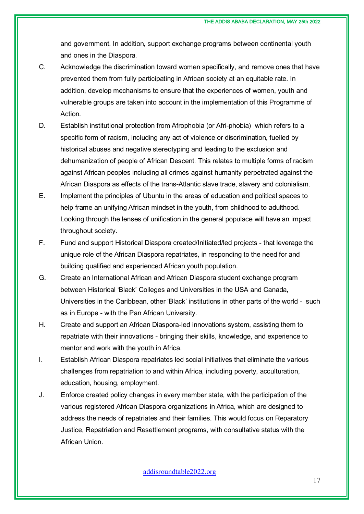and government. In addition, support exchange programs between continental youth and ones in the Diaspora.

- C. Acknowledge the discrimination toward women specifically, and remove ones that have prevented them from fully participating in African society at an equitable rate. In addition, develop mechanisms to ensure that the experiences of women, youth and vulnerable groups are taken into account in the implementation of this Programme of Action.
- D. Establish institutional protection from Afrophobia (or Afri-phobia) which refers to a specific form of racism, including any act of violence or discrimination, fuelled by historical abuses and negative stereotyping and leading to the exclusion and dehumanization of people of African Descent. This relates to multiple forms of racism against African peoples including all crimes against humanity perpetrated against the African Diaspora as effects of the trans-Atlantic slave trade, slavery and colonialism.
- E. Implement the principles of Ubuntu in the areas of education and political spaces to help frame an unifying African mindset in the youth, from childhood to adulthood. Looking through the lenses of unification in the general populace will have an impact throughout society.
- F. Fund and support Historical Diaspora created/Initiated/led projects that leverage the unique role of the African Diaspora repatriates, in responding to the need for and building qualified and experienced African youth population.
- G. Create an International African and African Diaspora student exchange program between Historical 'Black' Colleges and Universities in the USA and Canada, Universities in the Caribbean, other 'Black' institutions in other parts of the world - such as in Europe - with the Pan African University.
- H. Create and support an African Diaspora-led innovations system, assisting them to repatriate with their innovations - bringing their skills, knowledge, and experience to mentor and work with the youth in Africa.
- I. Establish African Diaspora repatriates led social initiatives that eliminate the various challenges from repatriation to and within Africa, including poverty, acculturation, education, housing, employment.
- J. Enforce created policy changes in every member state, with the participation of the various registered African Diaspora organizations in Africa, which are designed to address the needs of repatriates and their families. This would focus on Reparatory Justice, Repatriation and Resettlement programs, with consultative status with the African Union.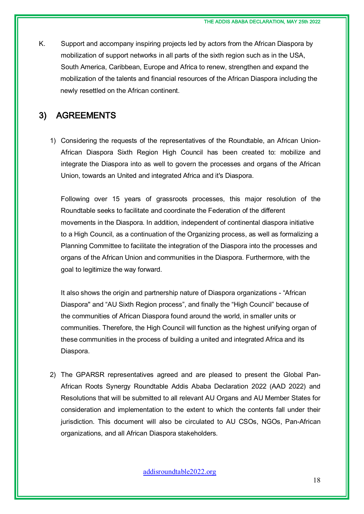K. Support and accompany inspiring projects led by actors from the African Diaspora by mobilization of support networks in all parts of the sixth region such as in the USA, South America, Caribbean, Europe and Africa to renew, strengthen and expand the mobilization of the talents and financial resources of the African Diaspora including the newly resettled on the African continent.

### 3) AGREEMENTS

1) Considering the requests of the representatives of the Roundtable, an African Union-African Diaspora Sixth Region High Council has been created to: mobilize and integrate the Diaspora into as well to govern the processes and organs of the African Union, towards an United and integrated Africa and it's Diaspora.

Following over 15 years of grassroots processes, this major resolution of the Roundtable seeks to facilitate and coordinate the Federation of the different movements in the Diaspora. In addition, independent of continental diaspora initiative to a High Council, as a continuation of the Organizing process, as well as formalizing a Planning Committee to facilitate the integration of the Diaspora into the processes and organs of the African Union and communities in the Diaspora. Furthermore, with the goal to legitimize the way forward.

It also shows the origin and partnership nature of Diaspora organizations - "African Diaspora" and "AU Sixth Region process", and finally the "High Council" because of the communities of African Diaspora found around the world, in smaller units or communities. Therefore, the High Council will function as the highest unifying organ of these communities in the process of building a united and integrated Africa and its Diaspora.

2) The GPARSR representatives agreed and are pleased to present the Global Pan-African Roots Synergy Roundtable Addis Ababa Declaration 2022 (AAD 2022) and Resolutions that will be submitted to all relevant AU Organs and AU Member States for consideration and implementation to the extent to which the contents fall under their jurisdiction. This document will also be circulated to AU CSOs, NGOs, Pan-African organizations, and all African Diaspora stakeholders.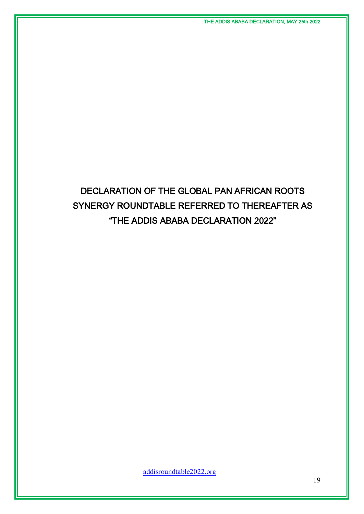## DECLARATION OF THE GLOBAL PAN AFRICAN ROOTS SYNERGY ROUNDTABLE REFERRED TO THEREAFTER AS "THE ADDIS ABABA DECLARATION 2022"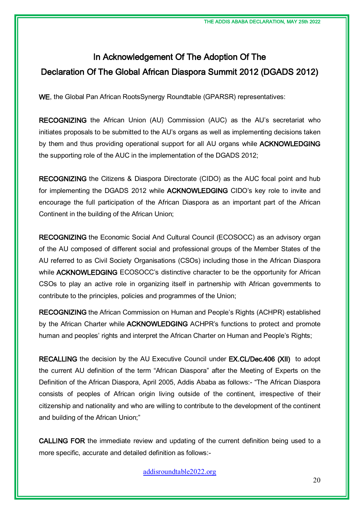## In Acknowledgement Of The Adoption Of The Declaration Of The Global African Diaspora Summit 2012 (DGADS 2012)

WE, the Global Pan African RootsSynergy Roundtable (GPARSR) representatives:

RECOGNIZING the African Union (AU) Commission (AUC) as the AU's secretariat who initiates proposals to be submitted to the AU's organs as well as implementing decisions taken by them and thus providing operational support for all AU organs while ACKNOWLEDGING the supporting role of the AUC in the implementation of the DGADS 2012;

RECOGNIZING the Citizens & Diaspora Directorate (CIDO) as the AUC focal point and hub for implementing the DGADS 2012 while ACKNOWLEDGING CIDO's key role to invite and encourage the full participation of the African Diaspora as an important part of the African Continent in the building of the African Union;

RECOGNIZING the Economic Social And Cultural Council (ECOSOCC) as an advisory organ of the AU composed of different social and professional groups of the Member States of the AU referred to as Civil Society Organisations (CSOs) including those in the African Diaspora while **ACKNOWLEDGING** ECOSOCC's distinctive character to be the opportunity for African CSOs to play an active role in organizing itself in partnership with African governments to contribute to the principles, policies and programmes of the Union;

RECOGNIZING the African Commission on Human and People's Rights (ACHPR) established by the African Charter while ACKNOWLEDGING ACHPR's functions to protect and promote human and peoples' rights and interpret the African Charter on Human and People's Rights;

RECALLING the decision by the AU Executive Council under EX.CL/Dec.406 (XII) to adopt the current AU definition of the term "African Diaspora" after the Meeting of Experts on the Definition of the African Diaspora, April 2005, Addis Ababa as follows:- "The African Diaspora consists of peoples of African origin living outside of the continent, irrespective of their citizenship and nationality and who are willing to contribute to the development of the continent and building of the African Union;"

CALLING FOR the immediate review and updating of the current definition being used to a more specific, accurate and detailed definition as follows:-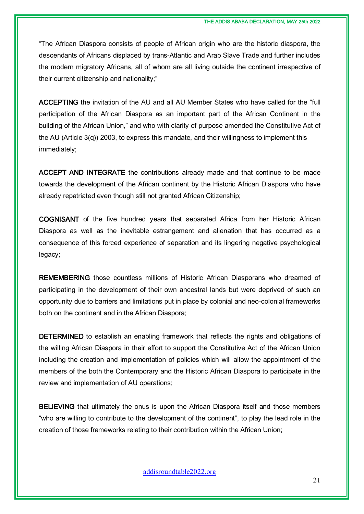"The African Diaspora consists of people of African origin who are the historic diaspora, the descendants of Africans displaced by trans-Atlantic and Arab Slave Trade and further includes the modern migratory Africans, all of whom are all living outside the continent irrespective of their current citizenship and nationality;"

ACCEPTING the invitation of the AU and all AU Member States who have called for the "full participation of the African Diaspora as an important part of the African Continent in the building of the African Union," and who with clarity of purpose amended the Constitutive Act of the AU (Article 3(q)) 2003, to express this mandate, and their willingness to implement this immediately;

ACCEPT AND INTEGRATE the contributions already made and that continue to be made towards the development of the African continent by the Historic African Diaspora who have already repatriated even though still not granted African Citizenship;

COGNISANT of the five hundred years that separated Africa from her Historic African Diaspora as well as the inevitable estrangement and alienation that has occurred as a consequence of this forced experience of separation and its lingering negative psychological legacy;

REMEMBERING those countless millions of Historic African Diasporans who dreamed of participating in the development of their own ancestral lands but were deprived of such an opportunity due to barriers and limitations put in place by colonial and neo-colonial frameworks both on the continent and in the African Diaspora;

DETERMINED to establish an enabling framework that reflects the rights and obligations of the willing African Diaspora in their effort to support the Constitutive Act of the African Union including the creation and implementation of policies which will allow the appointment of the members of the both the Contemporary and the Historic African Diaspora to participate in the review and implementation of AU operations;

BELIEVING that ultimately the onus is upon the African Diaspora itself and those members "who are willing to contribute to the development of the continent", to play the lead role in the creation of those frameworks relating to their contribution within the African Union;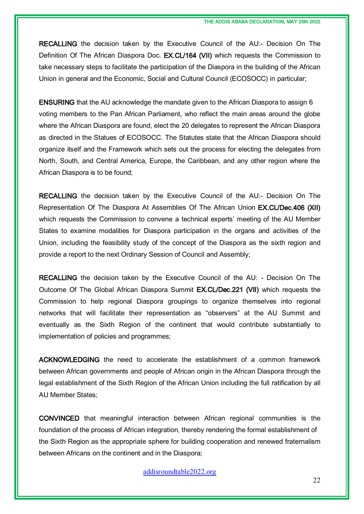RECALLING the decision taken by the Executive Council of the AU:- Decision On The Definition Of The African Diaspora Doc. **EX.CL/164 (VII)** which requests the Commission to take necessary steps to facilitate the participation of the Diaspora in the building of the African Union in general and the Economic, Social and Cultural Council (ECOSOCC) in particular;

ENSURING that the AU acknowledge the mandate given to the African Diaspora to assign 6 voting members to the Pan African Parliament, who reflect the main areas around the globe where the African Diaspora are found, elect the 20 delegates to represent the African Diaspora as directed in the Statues of ECOSOCC. The Statutes state that the African Diaspora should organize itself and the Framework which sets out the process for electing the delegates from North, South, and Central America, Europe, the Caribbean, and any other region where the African Diaspora is to be found;

RECALLING the decision taken by the Executive Council of the AU:- Decision On The Representation Of The Diaspora At Assemblies Of The African Union EX.CL/Dec.406 (XII) which requests the Commission to convene a technical experts' meeting of the AU Member States to examine modalities for Diaspora participation in the organs and activities of the Union, including the feasibility study of the concept of the Diaspora as the sixth region and provide a report to the next Ordinary Session of Council and Assembly;

RECALLING the decision taken by the Executive Council of the AU: - Decision On The Outcome Of The Global African Diaspora Summit EX.CL/Dec.221 (VII) which requests the Commission to help regional Diaspora groupings to organize themselves into regional networks that will facilitate their representation as "observers" at the AU Summit and eventually as the Sixth Region of the continent that would contribute substantially to implementation of policies and programmes;

ACKNOWLEDGING the need to accelerate the establishment of a common framework between African governments and people of African origin in the African Diaspora through the legal establishment of the Sixth Region of the African Union including the full ratification by all AU Member States;

CONVINCED that meaningful interaction between African regional communities is the foundation of the process of African integration, thereby rendering the formal establishment of the Sixth Region as the appropriate sphere for building cooperation and renewed fraternalism between Africans on the continent and in the Diaspora;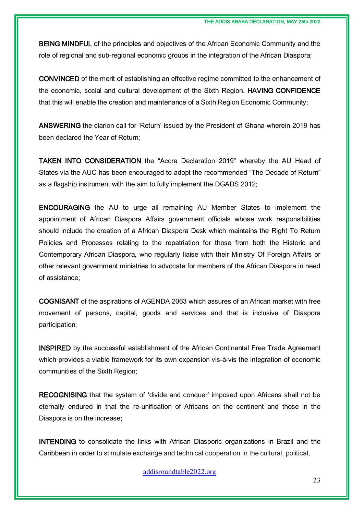BEING MINDFUL of the principles and objectives of the African Economic Community and the role of regional and sub-regional economic groups in the integration of the African Diaspora;

CONVINCED of the merit of establishing an effective regime committed to the enhancement of the economic, social and cultural development of the Sixth Region. HAVING CONFIDENCE that this will enable the creation and maintenance of a Sixth Region Economic Community;

ANSWERING the clarion call for 'Return' issued by the President of Ghana wherein 2019 has been declared the Year of Return;

TAKEN INTO CONSIDERATION the "Accra Declaration 2019" whereby the AU Head of States via the AUC has been encouraged to adopt the recommended "The Decade of Return" as a flagship instrument with the aim to fully implement the DGADS 2012;

ENCOURAGING the AU to urge all remaining AU Member States to implement the appointment of African Diaspora Affairs government officials whose work responsibilities should include the creation of a African Diaspora Desk which maintains the Right To Return Policies and Processes relating to the repatriation for those from both the Historic and Contemporary African Diaspora, who regularly liaise with their Ministry Of Foreign Affairs or other relevant government ministries to advocate for members of the African Diaspora in need of assistance;

COGNISANT of the aspirations of AGENDA 2063 which assures of an African market with free movement of persons, capital, goods and services and that is inclusive of Diaspora participation;

INSPIRED by the successful establishment of the African Continental Free Trade Agreement which provides a viable framework for its own expansion vis-à-vis the integration of economic communities of the Sixth Region;

RECOGNISING that the system of 'divide and conquer' imposed upon Africans shall not be eternally endured in that the re-unification of Africans on the continent and those in the Diaspora is on the increase;

INTENDING to consolidate the links with African Diasporic organizations in Brazil and the Caribbean in order to stimulate exchange and technical cooperation in the cultural, political,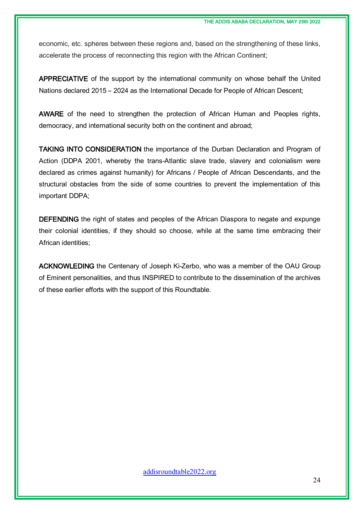economic, etc. spheres between these regions and, based on the strengthening of these links, accelerate the process of reconnecting this region with the African Continent;

APPRECIATIVE of the support by the international community on whose behalf the United Nations declared 2015 – 2024 as the International Decade for People of African Descent;

AWARE of the need to strengthen the protection of African Human and Peoples rights, democracy, and international security both on the continent and abroad;

TAKING INTO CONSIDERATION the importance of the Durban Declaration and Program of Action (DDPA 2001, whereby the trans-Atlantic slave trade, slavery and colonialism were declared as crimes against humanity) for Africans / People of African Descendants, and the structural obstacles from the side of some countries to prevent the implementation of this important DDPA;

DEFENDING the right of states and peoples of the African Diaspora to negate and expunge their colonial identities, if they should so choose, while at the same time embracing their African identities;

ACKNOWLEDING the Centenary of Joseph Ki-Zerbo, who was a member of the OAU Group of Eminent personalities, and thus INSPIRED to contribute to the dissemination of the archives of these earlier efforts with the support of this Roundtable.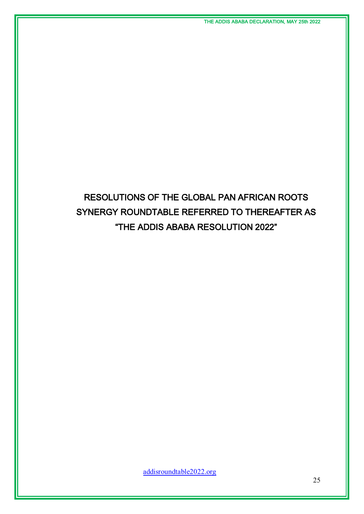## RESOLUTIONS OF THE GLOBAL PAN AFRICAN ROOTS SYNERGY ROUNDTABLE REFERRED TO THEREAFTER AS "THE ADDIS ABABA RESOLUTION 2022"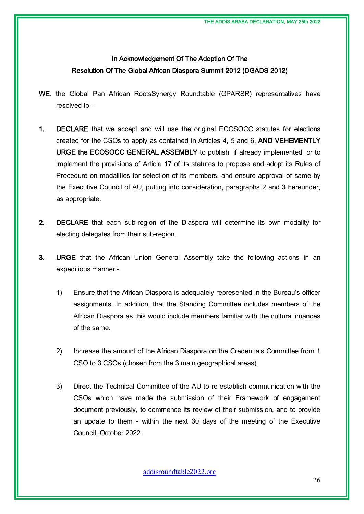### In Acknowledgement Of The Adoption Of The Resolution Of The Global African Diaspora Summit 2012 (DGADS 2012)

- WE, the Global Pan African RootsSynergy Roundtable (GPARSR) representatives have resolved to:-
- 1. DECLARE that we accept and will use the original ECOSOCC statutes for elections created for the CSOs to apply as contained in Articles 4, 5 and 6, AND VEHEMENTLY URGE the ECOSOCC GENERAL ASSEMBLY to publish, if already implemented, or to implement the provisions of Article 17 of its statutes to propose and adopt its Rules of Procedure on modalities for selection of its members, and ensure approval of same by the Executive Council of AU, putting into consideration, paragraphs 2 and 3 hereunder, as appropriate.
- 2. DECLARE that each sub-region of the Diaspora will determine its own modality for electing delegates from their sub-region.
- 3. URGE that the African Union General Assembly take the following actions in an expeditious manner:-
	- 1) Ensure that the African Diaspora is adequately represented in the Bureau's officer assignments. In addition, that the Standing Committee includes members of the African Diaspora as this would include members familiar with the cultural nuances of the same.
	- 2) Increase the amount of the African Diaspora on the Credentials Committee from 1 CSO to 3 CSOs (chosen from the 3 main geographical areas).
	- 3) Direct the Technical Committee of the AU to re-establish communication with the CSOs which have made the submission of their Framework of engagement document previously, to commence its review of their submission, and to provide an update to them - within the next 30 days of the meeting of the Executive Council, October 2022.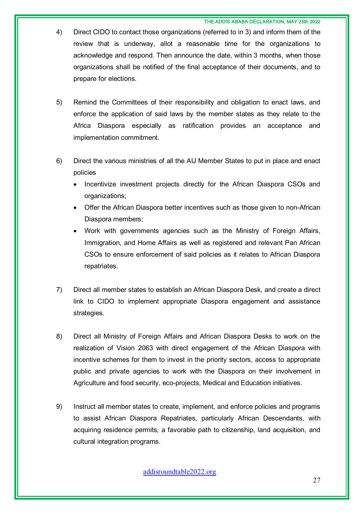#### THE ADDIS ABABA DECLARATION, MAY 25th 2022

- 4) Direct CIDO to contact those organizations (referred to in 3) and inform them of the review that is underway, allot a reasonable time for the organizations to acknowledge and respond. Then announce the date, within 3 months, when those organizations shall be notified of the final acceptance of their documents, and to prepare for elections.
- 5) Remind the Committees of their responsibility and obligation to enact laws, and enforce the application of said laws by the member states as they relate to the Africa Diaspora especially as ratification provides an acceptance and implementation commitment.
- 6) Direct the various ministries of all the AU Member States to put in place and enact policies
	- Incentivize investment projects directly for the African Diaspora CSOs and organizations;
	- Offer the African Diaspora better incentives such as those given to non-African Diaspora members;
	- Work with governments agencies such as the Ministry of Foreign Affairs, Immigration, and Home Affairs as well as registered and relevant Pan African CSOs to ensure enforcement of said policies as it relates to African Diaspora repatriates.
- 7) Direct all member states to establish an African Diaspora Desk, and create a direct link to CIDO to implement appropriate Diaspora engagement and assistance strategies.
- 8) Direct all Ministry of Foreign Affairs and African Diaspora Desks to work on the realization of Vision 2063 with direct engagement of the African Diaspora with incentive schemes for them to invest in the priority sectors, access to appropriate public and private agencies to work with the Diaspora on their involvement in Agriculture and food security, eco-projects, Medical and Education initiatives.
- 9) Instruct all member states to create, implement, and enforce policies and programs to assist African Diaspora Repatriates, particularly African Descendants, with acquiring residence permits, a favorable path to citizenship, land acquisition, and cultural integration programs.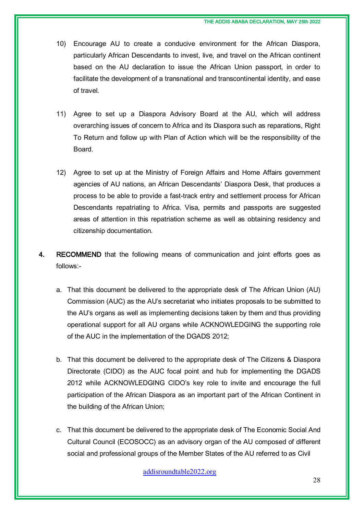- 10) Encourage AU to create a conducive environment for the African Diaspora, particularly African Descendants to invest, live, and travel on the African continent based on the AU declaration to issue the African Union passport, in order to facilitate the development of a transnational and transcontinental identity, and ease of travel.
- 11) Agree to set up a Diaspora Advisory Board at the AU, which will address overarching issues of concern to Africa and its Diaspora such as reparations, Right To Return and follow up with Plan of Action which will be the responsibility of the Board.
- 12) Agree to set up at the Ministry of Foreign Affairs and Home Affairs government agencies of AU nations, an African Descendants' Diaspora Desk, that produces a process to be able to provide a fast-track entry and settlement process for African Descendants repatriating to Africa. Visa, permits and passports are suggested areas of attention in this repatriation scheme as well as obtaining residency and citizenship documentation.
- 4. RECOMMEND that the following means of communication and joint efforts goes as follows:
	- a. That this document be delivered to the appropriate desk of The African Union (AU) Commission (AUC) as the AU's secretariat who initiates proposals to be submitted to the AU's organs as well as implementing decisions taken by them and thus providing operational support for all AU organs while ACKNOWLEDGING the supporting role of the AUC in the implementation of the DGADS 2012;
	- b. That this document be delivered to the appropriate desk of The Citizens & Diaspora Directorate (CIDO) as the AUC focal point and hub for implementing the DGADS 2012 while ACKNOWLEDGING CIDO's key role to invite and encourage the full participation of the African Diaspora as an important part of the African Continent in the building of the African Union;
	- c. That this document be delivered to the appropriate desk of The Economic Social And Cultural Council (ECOSOCC) as an advisory organ of the AU composed of different social and professional groups of the Member States of the AU referred to as Civil